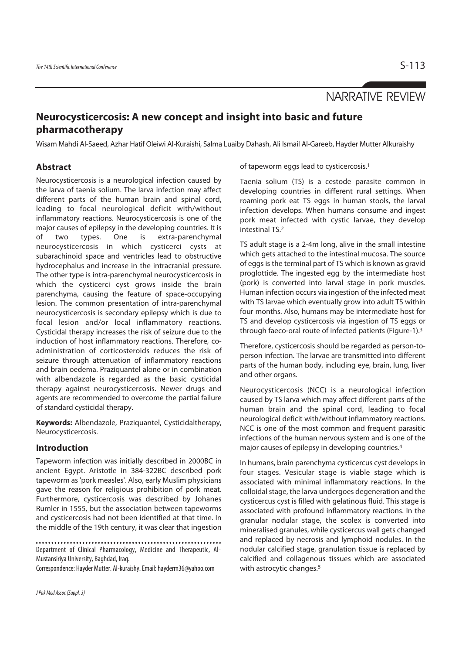# NARRATIVE REVIEW

# **Neurocysticercosis: A new concept and insight into basic and future pharmacotherapy**

Wisam Mahdi Al-Saeed, Azhar Hatif Oleiwi Al-Kuraishi, Salma Luaiby Dahash, Ali Ismail Al-Gareeb, Hayder Mutter Alkuraishy

## **Abstract**

Neurocysticercosis is a neurological infection caused by the larva of taenia solium. The larva infection may affect different parts of the human brain and spinal cord, leading to focal neurological deficit with/without inflammatory reactions. Neurocysticercosis is one of the major causes of epilepsy in the developing countries. It is of two types. One is extra-parenchymal neurocysticercosis in which cysticerci cysts at subarachinoid space and ventricles lead to obstructive hydrocephalus and increase in the intracranial pressure. The other type is intra-parenchymal neurocysticercosis in which the cysticerci cyst grows inside the brain parenchyma, causing the feature of space-occupying lesion. The common presentation of intra-parenchymal neurocysticercosis is secondary epilepsy which is due to focal lesion and/or local inflammatory reactions. Cysticidal therapy increases the risk of seizure due to the induction of host inflammatory reactions. Therefore, coadministration of corticosteroids reduces the risk of seizure through attenuation of inflammatory reactions and brain oedema. Praziquantel alone or in combination with albendazole is regarded as the basic cysticidal therapy against neurocysticercosis. Newer drugs and agents are recommended to overcome the partial failure of standard cysticidal therapy.

**Keywords:** Albendazole, Praziquantel, Cysticidaltherapy, Neurocysticercosis.

#### **Introduction**

Tapeworm infection was initially described in 2000BC in ancient Egypt. Aristotle in 384-322BC described pork tapeworm as 'pork measles'. Also, early Muslim physicians gave the reason for religious prohibition of pork meat. Furthermore, cysticercosis was described by Johanes Rumler in 1555, but the association between tapeworms and cysticercosis had not been identified at that time. In the middle of the 19th century, it was clear that ingestion

Department of Clinical Pharmacology, Medicine and Therapeutic, Al-Mustansiriya University, Baghdad, Iraq.

Correspondence: Hayder Mutter. Al-kuraishy. Email: hayderm36@yahoo.com

of tapeworm eggs lead to cysticercosis.1

Taenia solium (TS) is a cestode parasite common in developing countries in different rural settings. When roaming pork eat TS eggs in human stools, the larval infection develops. When humans consume and ingest pork meat infected with cystic larvae, they develop intestinal TS.2

TS adult stage is a 2-4m long, alive in the small intestine which gets attached to the intestinal mucosa. The source of eggs is the terminal part of TS which is known as gravid proglottide. The ingested egg by the intermediate host (pork) is converted into larval stage in pork muscles. Human infection occurs via ingestion of the infected meat with TS larvae which eventually grow into adult TS within four months. Also, humans may be intermediate host for TS and develop cysticercosis via ingestion of TS eggs or through faeco-oral route of infected patients (Figure-1).3

Therefore, cysticercosis should be regarded as person-toperson infection. The larvae are transmitted into different parts of the human body, including eye, brain, lung, liver and other organs.

Neurocysticercosis (NCC) is a neurological infection caused by TS larva which may affect different parts of the human brain and the spinal cord, leading to focal neurological deficit with/without inflammatory reactions. NCC is one of the most common and frequent parasitic infections of the human nervous system and is one of the major causes of epilepsy in developing countries.4

In humans, brain parenchyma cysticercus cyst develops in four stages. Vesicular stage is viable stage which is associated with minimal inflammatory reactions. In the colloidal stage, the larva undergoes degeneration and the cysticercus cyst is filled with gelatinous fluid. This stage is associated with profound inflammatory reactions. In the granular nodular stage, the scolex is converted into mineralised granules, while cysticercus wall gets changed and replaced by necrosis and lymphoid nodules. In the nodular calcified stage, granulation tissue is replaced by calcified and collagenous tissues which are associated with astrocytic changes.<sup>5</sup>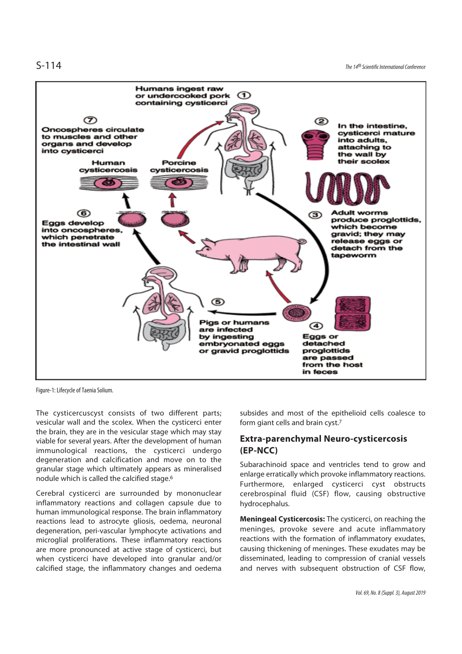S-114 The 14th Scientific International Conference



Figure-1: Lifecycle of Taenia Solium.

The cysticercuscyst consists of two different parts; vesicular wall and the scolex. When the cysticerci enter the brain, they are in the vesicular stage which may stay viable for several years. After the development of human immunological reactions, the cysticerci undergo degeneration and calcification and move on to the granular stage which ultimately appears as mineralised nodule which is called the calcified stage.6

Cerebral cysticerci are surrounded by mononuclear inflammatory reactions and collagen capsule due to human immunological response. The brain inflammatory reactions lead to astrocyte gliosis, oedema, neuronal degeneration, peri-vascular lymphocyte activations and microglial proliferations. These inflammatory reactions are more pronounced at active stage of cysticerci, but when cysticerci have developed into granular and/or calcified stage, the inflammatory changes and oedema

subsides and most of the epithelioid cells coalesce to form giant cells and brain cyst.7

## **Extra-parenchymal Neuro-cysticercosis (EP-NCC)**

Subarachinoid space and ventricles tend to grow and enlarge erratically which provoke inflammatory reactions. Furthermore, enlarged cysticerci cyst obstructs cerebrospinal fluid (CSF) flow, causing obstructive hydrocephalus.

**Meningeal Cysticercosis:** The cysticerci, on reaching the meninges, provoke severe and acute inflammatory reactions with the formation of inflammatory exudates, causing thickening of meninges. These exudates may be disseminated, leading to compression of cranial vessels and nerves with subsequent obstruction of CSF flow,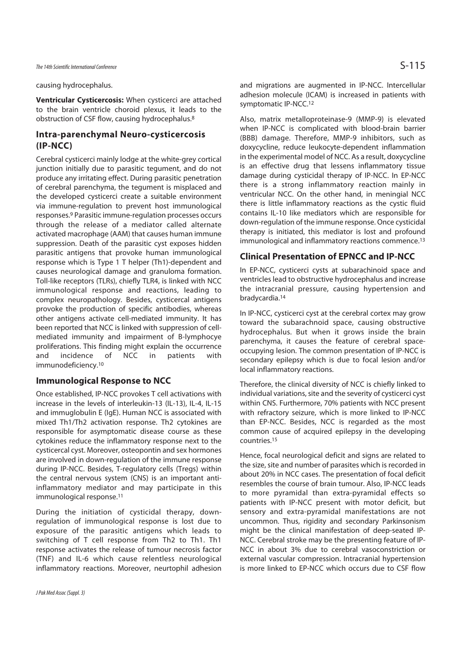causing hydrocephalus.

**Ventricular Cysticercosis:** When cysticerci are attached to the brain ventricle choroid plexus, it leads to the obstruction of CSF flow, causing hydrocephalus.8

## **Intra-parenchymal Neuro-cysticercosis (IP-NCC)**

Cerebral cysticerci mainly lodge at the white-grey cortical junction initially due to parasitic tegument, and do not produce any irritating effect. During parasitic penetration of cerebral parenchyma, the tegument is misplaced and the developed cysticerci create a suitable environment via immune-regulation to prevent host immunological responses.9 Parasitic immune-regulation processes occurs through the release of a mediator called alternate activated macrophage (AAM) that causes human immune suppression. Death of the parasitic cyst exposes hidden parasitic antigens that provoke human immunological response which is Type 1 T helper (Th1)-dependent and causes neurological damage and granuloma formation. Toll-like receptors (TLRs), chiefly TLR4, is linked with NCC immunological response and reactions, leading to complex neuropathology. Besides, cysticercal antigens provoke the production of specific antibodies, whereas other antigens activate cell-mediated immunity. It has been reported that NCC is linked with suppression of cellmediated immunity and impairment of B-lymphocye proliferations. This finding might explain the occurrence and incidence of NCC in patients with immunodeficiency.10

## **Immunological Response to NCC**

Once established, IP-NCC provokes T cell activations with increase in the levels of interleukin-13 (IL-13), IL-4, IL-15 and immuglobulin E (IgE). Human NCC is associated with mixed Th1/Th2 activation response. Th2 cytokines are responsible for asymptomatic disease course as these cytokines reduce the inflammatory response next to the cysticercal cyst. Moreover, osteopontin and sex hormones are involved in down-regulation of the immune response during IP-NCC. Besides, T-regulatory cells (Tregs) within the central nervous system (CNS) is an important antiinflammatory mediator and may participate in this immunological response.11

During the initiation of cysticidal therapy, downregulation of immunological response is lost due to exposure of the parasitic antigens which leads to switching of T cell response from Th2 to Th1. Th1 response activates the release of tumour necrosis factor (TNF) and IL-6 which cause relentless neurological inflammatory reactions. Moreover, neurtophil adhesion

and migrations are augmented in IP-NCC. Intercellular adhesion molecule (ICAM) is increased in patients with symptomatic IP-NCC.12

Also, matrix metalloproteinase-9 (MMP-9) is elevated when IP-NCC is complicated with blood-brain barrier (BBB) damage. Therefore, MMP-9 inhibitors, such as doxycycline, reduce leukocyte-dependent inflammation in the experimental model of NCC. As a result, doxycycline is an effective drug that lessens inflammatory tissue damage during cysticidal therapy of IP-NCC. In EP-NCC there is a strong inflammatory reaction mainly in ventricular NCC. On the other hand, in meningial NCC there is little inflammatory reactions as the cystic fluid contains IL-10 like mediators which are responsible for down-regulation of the immune response. Once cysticidal therapy is initiated, this mediator is lost and profound immunological and inflammatory reactions commence.<sup>13</sup>

#### **Clinical Presentation of EPNCC and IP-NCC**

In EP-NCC, cysticerci cysts at subarachinoid space and ventricles lead to obstructive hydrocephalus and increase the intracranial pressure, causing hypertension and bradycardia.14

In IP-NCC, cysticerci cyst at the cerebral cortex may grow toward the subarachnoid space, causing obstructive hydrocephalus. But when it grows inside the brain parenchyma, it causes the feature of cerebral spaceoccupying lesion. The common presentation of IP-NCC is secondary epilepsy which is due to focal lesion and/or local inflammatory reactions.

Therefore, the clinical diversity of NCC is chiefly linked to individual variations, site and the severity of cysticerci cyst within CNS. Furthermore, 70% patients with NCC present with refractory seizure, which is more linked to IP-NCC than EP-NCC. Besides, NCC is regarded as the most common cause of acquired epilepsy in the developing countries.15

Hence, focal neurological deficit and signs are related to the size, site and number of parasites which is recorded in about 20% in NCC cases. The presentation of focal deficit resembles the course of brain tumour. Also, IP-NCC leads to more pyramidal than extra-pyramidal effects so patients with IP-NCC present with motor deficit, but sensory and extra-pyramidal manifestations are not uncommon. Thus, rigidity and secondary Parkinsonism might be the clinical manifestation of deep-seated IP-NCC. Cerebral stroke may be the presenting feature of IP-NCC in about 3% due to cerebral vasoconstriction or external vascular compression. Intracranial hypertension is more linked to EP-NCC which occurs due to CSF flow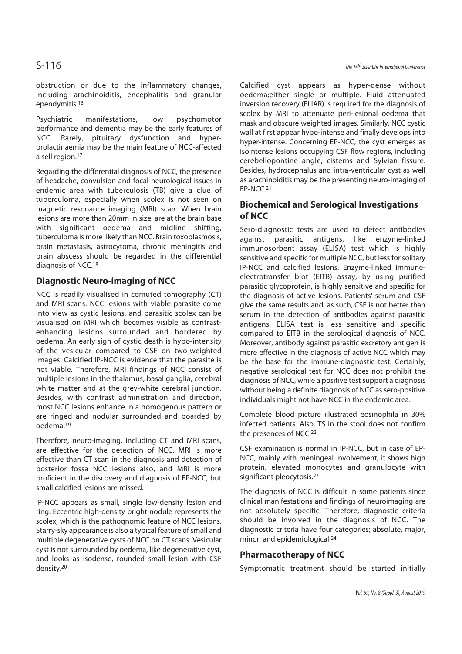obstruction or due to the inflammatory changes, including arachinoiditis, encephalitis and granular ependymitis.16

Psychiatric manifestations, low psychomotor performance and dementia may be the early features of NCC. Rarely, pituitary dysfunction and hyperprolactinaemia may be the main feature of NCC-affected a sell region.17

Regarding the differential diagnosis of NCC, the presence of headache, convulsion and focal neurological issues in endemic area with tuberculosis (TB) give a clue of tuberculoma, especially when scolex is not seen on magnetic resonance imaging (MRI) scan. When brain lesions are more than 20mm in size, are at the brain base with significant oedema and midline shifting, tuberculoma is more likely than NCC. Brain toxoplasmosis, brain metastasis, astrocytoma, chronic meningitis and brain abscess should be regarded in the differential diagnosis of NCC.18

## **Diagnostic Neuro-imaging of NCC**

NCC is readily visualised in comuted tomography (CT) and MRI scans. NCC lesions with viable parasite come into view as cystic lesions, and parasitic scolex can be visualised on MRI which becomes visible as contrastenhancing lesions surrounded and bordered by oedema. An early sign of cystic death is hypo-intensity of the vesicular compared to CSF on two-weighted images. Calcified IP-NCC is evidence that the parasite is not viable. Therefore, MRI findings of NCC consist of multiple lesions in the thalamus, basal ganglia, cerebral white matter and at the grey-white cerebral junction. Besides, with contrast administration and direction, most NCC lesions enhance in a homogenous pattern or are ringed and nodular surrounded and boarded by oedema.19

Therefore, neuro-imaging, including CT and MRI scans, are effective for the detection of NCC. MRI is more effective than CT scan in the diagnosis and detection of posterior fossa NCC lesions also, and MRI is more proficient in the discovery and diagnosis of EP-NCC, but small calcified lesions are missed.

IP-NCC appears as small, single low-density lesion and ring. Eccentric high-density bright nodule represents the scolex, which is the pathognomic feature of NCC lesions. Starry-sky appearance is also a typical feature of small and multiple degenerative cysts of NCC on CT scans. Vesicular cyst is not surrounded by oedema, like degenerative cyst, and looks as isodense, rounded small lesion with CSF density.20

Calcified cyst appears as hyper-dense without oedema;either single or multiple. Fluid attenuated inversion recovery (FLIAR) is required for the diagnosis of scolex by MRI to attenuate peri-lesional oedema that mask and obscure weighted images. Similarly, NCC cystic wall at first appear hypo-intense and finally develops into hyper-intense. Concerning EP-NCC, the cyst emerges as isointense lesions occupying CSF flow regions, including cerebellopontine angle, cisterns and Sylvian fissure. Besides, hydrocephalus and intra-ventricular cyst as well as arachinoiditis may be the presenting neuro-imaging of EP-NCC.21

## **Biochemical and Serological Investigations of NCC**

Sero-diagnostic tests are used to detect antibodies against parasitic antigens, like enzyme-linked immunosorbent assay (ELISA) test which is highly sensitive and specific for multiple NCC, but less for solitary IP-NCC and calcified lesions. Enzyme-linked immuneelectrotransfer blot (EITB) assay, by using purified parasitic glycoprotein, is highly sensitive and specific for the diagnosis of active lesions. Patients' serum and CSF give the same results and, as such, CSF is not better than serum in the detection of antibodies against parasitic antigens. ELISA test is less sensitive and specific compared to EITB in the serological diagnosis of NCC. Moreover, antibody against parasitic excretory antigen is more effective in the diagnosis of active NCC which may be the base for the immune-diagnostic test. Certainly, negative serological test for NCC does not prohibit the diagnosis of NCC, while a positive test support a diagnosis without being a definite diagnosis of NCC as sero-positive individuals might not have NCC in the endemic area.

Complete blood picture illustrated eosinophila in 30% infected patients. Also, TS in the stool does not confirm the presences of NCC.22

CSF examination is normal in IP-NCC, but in case of EP-NCC, mainly with meningeal involvement, it shows high protein, elevated monocytes and granulocyte with significant pleocytosis.23

The diagnosis of NCC is difficult in some patients since clinical manifestations and findings of neuroimaging are not absolutely specific. Therefore, diagnostic criteria should be involved in the diagnosis of NCC. The diagnostic criteria have four categories; absolute, major, minor, and epidemiological.24

### **Pharmacotherapy of NCC**

Symptomatic treatment should be started initially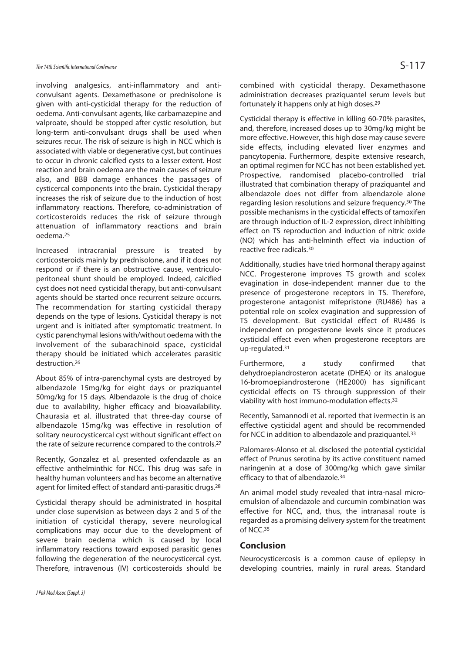involving analgesics, anti-inflammatory and anticonvulsant agents. Dexamethasone or prednisolone is given with anti-cysticidal therapy for the reduction of oedema. Anti-convulsant agents, like carbamazepine and valproate, should be stopped after cystic resolution, but long-term anti-convulsant drugs shall be used when seizures recur. The risk of seizure is high in NCC which is associated with viable or degenerative cyst, but continues to occur in chronic calcified cysts to a lesser extent. Host reaction and brain oedema are the main causes of seizure also, and BBB damage enhances the passages of cysticercal components into the brain. Cysticidal therapy increases the risk of seizure due to the induction of host inflammatory reactions. Therefore, co-administration of corticosteroids reduces the risk of seizure through attenuation of inflammatory reactions and brain oedema.25

Increased intracranial pressure is treated by corticosteroids mainly by prednisolone, and if it does not respond or if there is an obstructive cause, ventriculoperitoneal shunt should be employed. Indeed, calcified cyst does not need cysticidal therapy, but anti-convulsant agents should be started once recurrent seizure occurrs. The recommendation for starting cysticidal therapy depends on the type of lesions. Cysticidal therapy is not urgent and is initiated after symptomatic treatment. In cystic parenchymal lesions with/without oedema with the involvement of the subarachinoid space, cysticidal therapy should be initiated which accelerates parasitic destruction.26

About 85% of intra-parenchymal cysts are destroyed by albendazole 15mg/kg for eight days or praziquantel 50mg/kg for 15 days. Albendazole is the drug of choice due to availability, higher efficacy and bioavailability. Chaurasia et al. illustrated that three-day course of albendazole 15mg/kg was effective in resolution of solitary neurocysticercal cyst without significant effect on the rate of seizure recurrence compared to the controls.27

Recently, Gonzalez et al. presented oxfendazole as an effective anthelminthic for NCC. This drug was safe in healthy human volunteers and has become an alternative agent for limited effect of standard anti-parasitic drugs.28

Cysticidal therapy should be administrated in hospital under close supervision as between days 2 and 5 of the initiation of cysticidal therapy, severe neurological complications may occur due to the development of severe brain oedema which is caused by local inflammatory reactions toward exposed parasitic genes following the degeneration of the neurocysticercal cyst. Therefore, intravenous (IV) corticosteroids should be

combined with cysticidal therapy. Dexamethasone administration decreases praziquantel serum levels but fortunately it happens only at high doses.29

Cysticidal therapy is effective in killing 60-70% parasites, and, therefore, increased doses up to 30mg/kg might be more effective. However, this high dose may cause severe side effects, including elevated liver enzymes and pancytopenia. Furthermore, despite extensive research, an optimal regimen for NCC has not been established yet. Prospective, randomised placebo-controlled trial illustrated that combination therapy of praziquantel and albendazole does not differ from albendazole alone regarding lesion resolutions and seizure frequency.<sup>30</sup>The possible mechanisms in the cysticidal effects of tamoxifen are through induction of IL-2 expression, direct inhibiting effect on TS reproduction and induction of nitric oxide (NO) which has anti-helminth effect via induction of reactive free radicals.30

Additionally, studies have tried hormonal therapy against NCC. Progesterone improves TS growth and scolex evagination in dose-independent manner due to the presence of progesterone receptors in TS. Therefore, progesterone antagonist mifepristone (RU486) has a potential role on scolex evagination and suppression of TS development. But cysticidal effect of RU486 is independent on progesterone levels since it produces cysticidal effect even when progesterone receptors are up-regulated.31

Furthermore, a study confirmed that dehydroepiandrosteron acetate (DHEA) or its analogue 16-bromoepiandrosterone (HE2000) has significant cysticidal effects on TS through suppression of their viability with host immuno-modulation effects.32

Recently, Samannodi et al. reported that ivermectin is an effective cysticidal agent and should be recommended for NCC in addition to albendazole and praziquantel.<sup>33</sup>

Palomares-Alonso et al. disclosed the potential cysticidal effect of Prunus serotina by its active constituent named naringenin at a dose of 300mg/kg which gave similar efficacy to that of albendazole.34

An animal model study revealed that intra-nasal microemulsion of albendazole and curcumin combination was effective for NCC, and, thus, the intranasal route is regarded as a promising delivery system for the treatment of NCC.35

#### **Conclusion**

Neurocysticercosis is a common cause of epilepsy in developing countries, mainly in rural areas. Standard